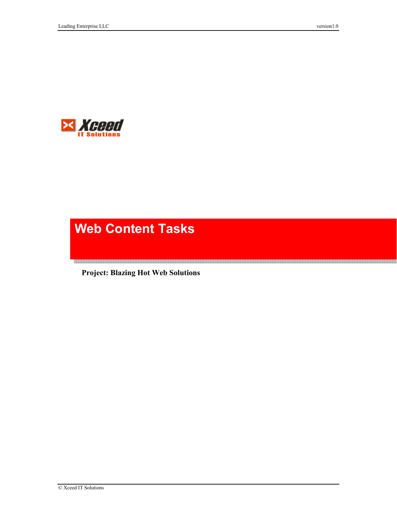

# **Web Content Tasks**

 **Project: Blazing Hot Web Solutions** 

<u> Kursasta sen era berasen esemesen den den esemesen den en en den berasen esemen en en den esemesen bestanderen</u>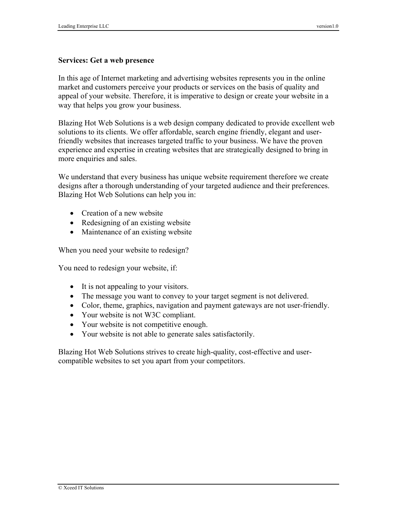#### **Services: Get a web presence**

In this age of Internet marketing and advertising websites represents you in the online market and customers perceive your products or services on the basis of quality and appeal of your website. Therefore, it is imperative to design or create your website in a way that helps you grow your business.

Blazing Hot Web Solutions is a web design company dedicated to provide excellent web solutions to its clients. We offer affordable, search engine friendly, elegant and userfriendly websites that increases targeted traffic to your business. We have the proven experience and expertise in creating websites that are strategically designed to bring in more enquiries and sales.

We understand that every business has unique website requirement therefore we create designs after a thorough understanding of your targeted audience and their preferences. Blazing Hot Web Solutions can help you in:

- Creation of a new website
- Redesigning of an existing website
- Maintenance of an existing website

When you need your website to redesign?

You need to redesign your website, if:

- It is not appealing to your visitors.
- The message you want to convey to your target segment is not delivered.
- Color, theme, graphics, navigation and payment gateways are not user-friendly.
- Your website is not W3C compliant.
- Your website is not competitive enough.
- Your website is not able to generate sales satisfactorily.

Blazing Hot Web Solutions strives to create high-quality, cost-effective and usercompatible websites to set you apart from your competitors.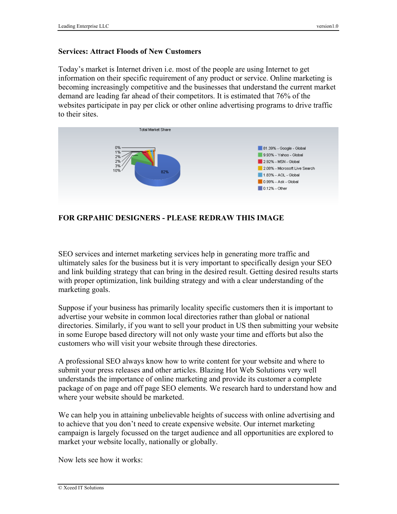#### **Services: Attract Floods of New Customers**

Today's market is Internet driven i.e. most of the people are using Internet to get information on their specific requirement of any product or service. Online marketing is becoming increasingly competitive and the businesses that understand the current market demand are leading far ahead of their competitors. It is estimated that 76% of the websites participate in pay per click or other online advertising programs to drive traffic to their sites.



**FOR GRPAHIC DESIGNERS - PLEASE REDRAW THIS IMAGE** 

SEO services and internet marketing services help in generating more traffic and ultimately sales for the business but it is very important to specifically design your SEO and link building strategy that can bring in the desired result. Getting desired results starts with proper optimization, link building strategy and with a clear understanding of the marketing goals.

Suppose if your business has primarily locality specific customers then it is important to advertise your website in common local directories rather than global or national directories. Similarly, if you want to sell your product in US then submitting your website in some Europe based directory will not only waste your time and efforts but also the customers who will visit your website through these directories.

A professional SEO always know how to write content for your website and where to submit your press releases and other articles. Blazing Hot Web Solutions very well understands the importance of online marketing and provide its customer a complete package of on page and off page SEO elements. We research hard to understand how and where your website should be marketed.

We can help you in attaining unbelievable heights of success with online advertising and to achieve that you don't need to create expensive website. Our internet marketing campaign is largely focussed on the target audience and all opportunities are explored to market your website locally, nationally or globally.

Now lets see how it works: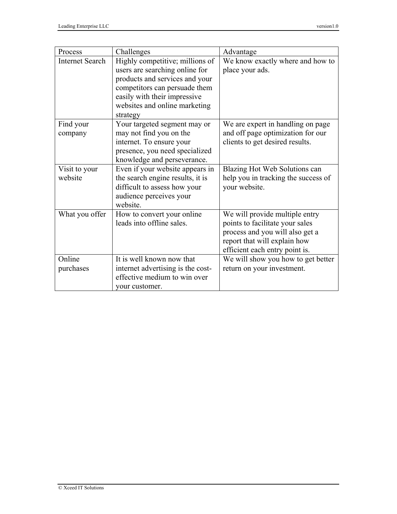| Process                | Challenges                        | Advantage                           |
|------------------------|-----------------------------------|-------------------------------------|
| <b>Internet Search</b> | Highly competitive; millions of   | We know exactly where and how to    |
|                        | users are searching online for    | place your ads.                     |
|                        | products and services and your    |                                     |
|                        | competitors can persuade them     |                                     |
|                        | easily with their impressive      |                                     |
|                        | websites and online marketing     |                                     |
|                        | strategy                          |                                     |
| Find your              | Your targeted segment may or      | We are expert in handling on page   |
| company                | may not find you on the           | and off page optimization for our   |
|                        | internet. To ensure your          | clients to get desired results.     |
|                        | presence, you need specialized    |                                     |
|                        | knowledge and perseverance.       |                                     |
| Visit to your          | Even if your website appears in   | Blazing Hot Web Solutions can       |
| website                | the search engine results, it is  | help you in tracking the success of |
|                        | difficult to assess how your      | your website.                       |
|                        | audience perceives your           |                                     |
|                        | website.                          |                                     |
| What you offer         | How to convert your online        | We will provide multiple entry      |
|                        | leads into offline sales.         | points to facilitate your sales     |
|                        |                                   | process and you will also get a     |
|                        |                                   | report that will explain how        |
|                        |                                   | efficient each entry point is.      |
| Online                 | It is well known now that         | We will show you how to get better  |
| purchases              | internet advertising is the cost- | return on your investment.          |
|                        | effective medium to win over      |                                     |
|                        | your customer.                    |                                     |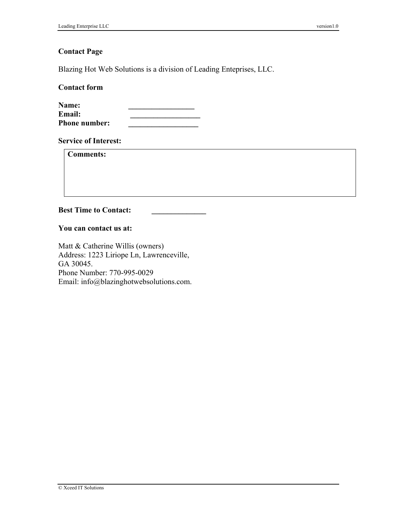### **Contact Page**

Blazing Hot Web Solutions is a division of Leading Enteprises, LLC.

**Contact form** 

| Name:                |  |
|----------------------|--|
| <b>Email:</b>        |  |
| <b>Phone number:</b> |  |

**Service of Interest:** 

**Comments:** 

**Best Time to Contact:** 

**You can contact us at:** 

Matt & Catherine Willis (owners) Address: 1223 Liriope Ln, Lawrenceville, GA 30045. Phone Number: 770-995-0029 Email: info@blazinghotwebsolutions.com.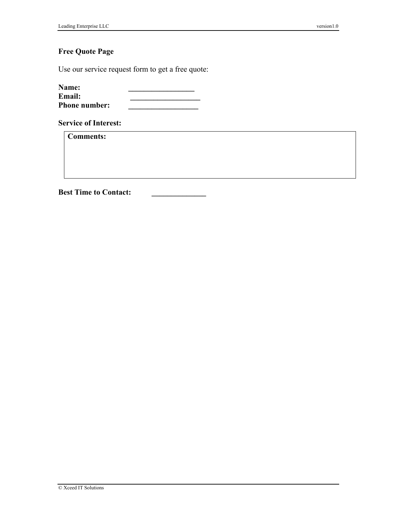# **Free Quote Page**

Use our service request form to get a free quote:

| <b>Name:</b>         |  |
|----------------------|--|
| Email:               |  |
| <b>Phone number:</b> |  |

**Service of Interest:** 

**Comments:** 

**Best Time to Contact:**